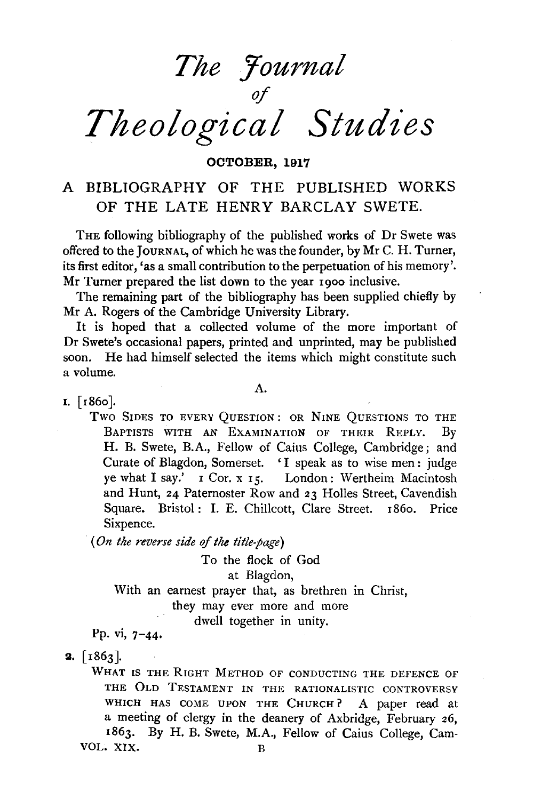

OCTOBER, 1917

# A BIBLIOGRAPHY OF THE PUBLISHED WORKS OF THE LATE HENRY BARCLAY SWETE.

THE following bibliography of the published works of Dr Swete was offered to the JOURNAL, of which he was the founder, by Mr C. H. Turner, its first editor, 'as a small contribution to the perpetuation of his memory'. Mr Turner prepared the list down to the year 1900 inclusive.

The remaining part of the bibliography has been supplied chiefly by Mr A. Rogers of the Cambridge University Library.

It is hoped that a collected volume of the more important of Dr Swete's occasional papers, printed and unprinted, may be published soon. He had himself selected the items which might constitute such a volume.

A.

I.  $[1860]$ .

Two SIDES TO EVERY QuESTION: OR NINE QuESTIONS TO THE BAPTISTS WITH AN EXAMINATION OF THEIR REPLY. By H. B. Swete, B.A., Fellow of Caius College, Cambridge; and Curate of Blagdon, Somerset. 'I speak as to wise men: judge ye what I say.' I Cor. x 15. London: Wertheim Macintosh and Hunt, 24 Paternoster Row and 23 Holles Street, Cavendish Square. Bristol: I. E. Chillcott, Clare Street. 1860. Price Sixpence.

*(On the reverse side of the title-page)* 

With an earnest prayer that, as brethren in Christ, To the flock of God at Blagdon, they may ever more and more dwell together in unity.

Pp. vi, 7-44·

**2.**  $\lceil 1863 \rceil$ .

WHAT IS THE RIGHT METHOD OF CONDUCTING THE DEFENCE OF THE OLD TESTAMENT IN THE RATIONALISTIC CONTROVERSY WHICH HAS COME UPON THE CHURCH? A paper read at a meeting of clergy in the deanery of Axbridge, February 26, 1863. By H. B. Swete, M.A., Fellow of Caius College, Cam-VOL. XIX.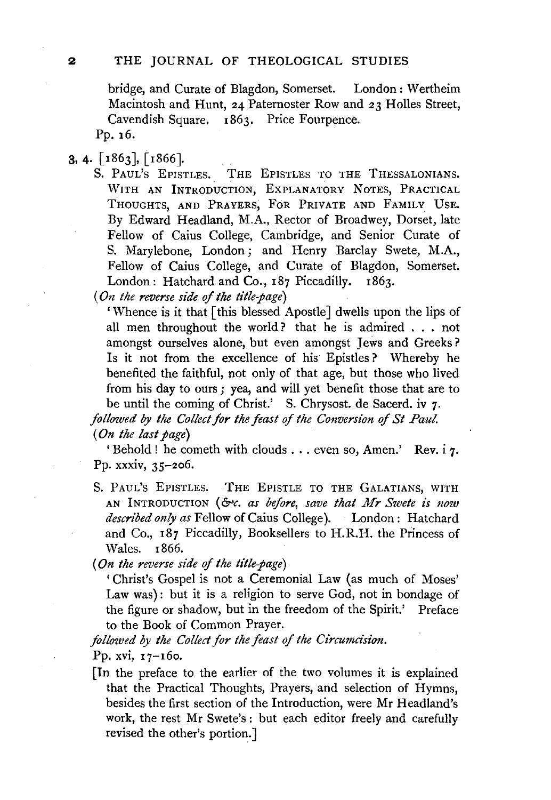bridge, and Curate of Blagdon, Somerset. London : Wertheim Macintosh and Hunt, 24 Paternoster Row and 23 Holies Street, Cavendish Square. 1863. Price Fourpence.

Pp. 16.

# 3, 4.  $\lceil 1863 \rceil$ ,  $\lceil 1866 \rceil$ .

S. PAUL'S EPISTLES. THE EPISTLES TO THE THESSALONIANS. WITH AN INTRODUCTION, EXPLANATORY NOTES, PRACTICAL THOUGHTS, AND PRAYERS, FoR PRIVATE AND FAMILY UsE. By Edward Headland, M.A., Rector of Broadwey, Dorset, late Fellow of Caius College, Cambridge, and Senior Curate of S. Marylebone, London; and Henry Barclay Swete, M.A., Fellow of Caius College, and Curate of Blagdon, Somerset. London: Hatchard and Co., 187 Piccadilly. 1863.

*(On the reverse side of the title-page)* 

'Whence is it that [this blessed Apostle] dwells upon the lips of all men throughout the world? that he is admired . . • not amongst ourselves alone, but even amongst Jews and Greeks ? Is it not from the excellence of his Epistles? Whereby he benefited the faithful, not only of that age, but those who lived from his day to ours ; yea, and will yet benefit those that are to be until the coming of Christ.' S. Chrysost. de Sacerd. iv 7.

*followed by the Collect for the feast of the Conversion of St Paul. (On the last page)* 

'Behold! he cometh with clouds . . . even so, Amen.' Rev. i 7. Pp. xxxiv, 35-206.

S. PAUL'S EPISTLES. THE EPISTLE TO THE GALATIANS, WITH AN INTRODUCTION (&c. as before, save that Mr Swete is now *described only as* Fellow of Caius College). London : Hatchard and Co., 187 Piccadilly, Booksellers to H.R.H. the Princess of Wales. 1866.

*(On the reverse side of the title-page)* 

'Christ's Gospel is not a Ceremonial Law (as much of Moses' Law was): but it is a religion to serve God, not in bondage of the figure or shadow, but in the freedom of the Spirit.' Preface to the Book of Common Prayer.

*followed by the Collect for the feast of the Circumcision.* Pp. xvi,  $17 - 160$ .

[In the preface to the earlier of the two volumes it is explained that the Practical Thoughts, Prayers, and selection of Hymns, besides the first section of the Introduction, were Mr Headland's work, the rest Mr Swete's : but each editor freely and carefully revised the other's portion.]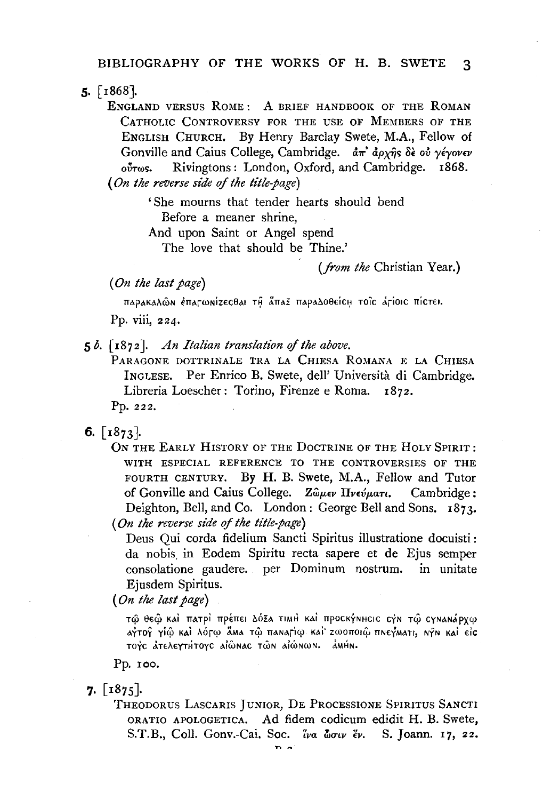$5.$  [1868].

ENGLAND VERSUS ROME: A BRIEF HANDBOOK OF THE ROMAN CATHOLIC CONTROVERSY FOR THE USE OF MEMBERS OF THE ENGLISH CHURCH. By Henry Barclay Swete, M.A., Fellow of Gonville and Caius College, Cambridge.  $d\pi^2 d\rho_X \hat{\eta} s$  or  $\gamma \hat{\epsilon} \gamma \partial \nu \epsilon \nu$ Rivingtons: London, Oxford, and Cambridge. 1868.  $\delta v \tau \omega s$ . (On the reverse side of the title-page)

> 'She mourns that tender hearts should bend Before a meaner shrine.

And upon Saint or Angel spend

The love that should be Thine.'

#### (from the Christian Year.)

(On the last page)

παρακαλών έπατωνίzεςθαι τη άπαξ παραλοθείς τοις άτίσις πίςτει. Pp. viii. 224.

 $5 b.$  [1872]. An Italian translation of the above.

PARAGONE DOTTRINALE TRA LA CHIESA ROMANA E LA CHIESA INGLESE. Per Enrico B. Swete, dell' Università di Cambridge. Libreria Loescher: Torino, Firenze e Roma. 1872.

Pp. 222.

6.  $\lceil 1873 \rceil$ .

ON THE EARLY HISTORY OF THE DOCTRINE OF THE HOLY SPIRIT: WITH ESPECIAL REFERENCE TO THE CONTROVERSIES OF THE FOURTH CENTURY. By H. B. Swete, M.A., Fellow and Tutor of Gonville and Caius College. Ζώμεν Πνεύματι. Cambridge: Deighton, Bell, and Co. London: George Bell and Sons. 1873. (On the reverse side of the title-page)

Deus Oui corda fidelium Sancti Spiritus illustratione docuisti: da nobis in Eodem Spiritu recta sapere et de Ejus semper consolatione gaudere. per Dominum nostrum. in unitate Ejusdem Spiritus.

(On the last page)

τώ θεώ και πατρί πρέπει Δόξα τιΜΗ και προσκήνησιο σήν τώ σηνανάρχω αγτογ γίῷ καὶ λότῳ ẫΜΑ τῷ παΝατίῳ καὶ Ζωοποιῷ πΝεγΜατι, ΝγΝ καὶ εἰς τογς ατελεγτήτογς αίωνας των αίώνων. ΔΜΗΝ.

Pp.  $\text{roo.}$ 

 $7. \; \lceil 1875 \rceil.$ 

THEODORUS LASCARIS JUNIOR, DE PROCESSIONE SPIRITUS SANCTI ORATIO APOLOGETICA. Ad fidem codicum edidit H. B. Swete, S.T.B., Coll. Gonv.-Cai. Soc. iva worv ev. S. Joann. 17, 22.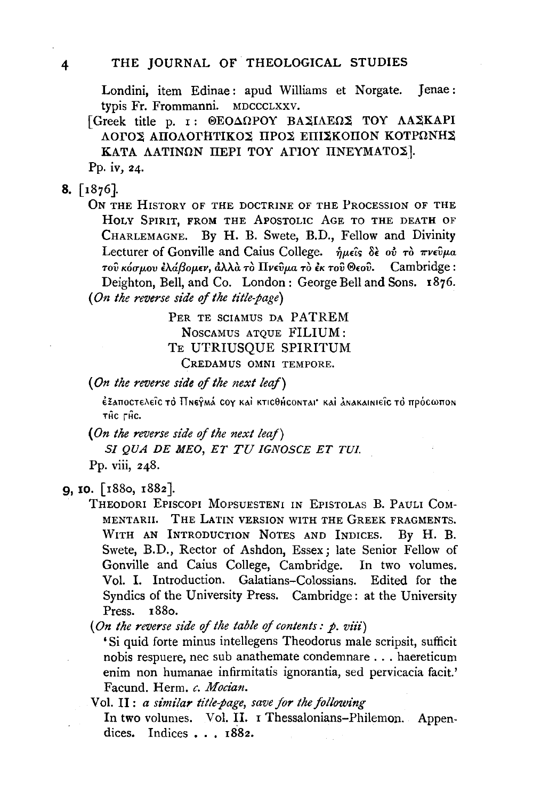Londini, item Edinae: apud Williams et Norgate. Jenae: typis Fr. Frommanni. MDCCCLXXV.

[Greek title p. I: @EOAQPOY BAXIAEQX TOY AAXKAPI ΛΟΓΟΣ ΑΠΟΛΟΓΗΤΙΚΟΣ ΠΡΟΣ ΕΠΙΣΚΟΠΟΝ ΚΟΤΡΩΝΗΣ ΚΑΤΑ ΛΑΤΙΝΩΝ ΠΕΡΙ ΤΟΥ ΑΓΙΟΥ ΠΝΕΥΜΑΤΟΣ].

Pp. iv, 24.

## $8. \; \lceil 1876 \rceil.$

ON THE HISTORY OF THE DOCTRINE OF THE PROCESSION OF THE HOLY SPIRIT. FROM THE APOSTOLIC AGE TO THE DEATH OF CHARLEMAGNE. By H. B. Swete, B.D., Fellow and Divinity Lecturer of Gonville and Caius College.  $\hat{n} \mu \hat{\epsilon} \hat{\delta} \hat{\epsilon}$  ov  $\tau \hat{\delta} \pi \nu \hat{\epsilon} \hat{\nu} \mu a$ του κόσμου έλάβομεν, άλλα το Πνεύμα το έκ του Θεού. Cambridge: Deighton, Bell, and Co. London: George Bell and Sons. 1876. (On the reverse side of the title-page)

> PER TE SCIAMUS DA PATREM NOSCAMUS ATOUE FILIUM: TE UTRIUSOUE SPIRITUM CREDAMUS OMNI TEMPORE.

(On the reverse side of the next leaf)

έξαποστελείς το Πηεγμά τον και κτιςθής οπται· και ανακαινιείς το πρός ωπον THC FHC.

(On the reverse side of the next leaf) SI QUA DE MEO, ET TU IGNOSCE ET TUI.

Pp. viii. 248.

# 9, 10. [1880, 1882].

THEODORI EPISCOPI MOPSUESTENI IN EPISTOLAS B. PAULI COM-MENTARII. THE LATIN VERSION WITH THE GREEK FRAGMENTS. WITH AN INTRODUCTION NOTES AND INDICES. By H. B. Swete, B.D., Rector of Ashdon, Essex; late Senior Fellow of Gonville and Caius College, Cambridge. In two volumes. Vol. I. Introduction. Galatians-Colossians. Edited for the Syndics of the University Press. Cambridge: at the University Press. 1880.

(On the reverse side of the table of contents:  $p$ , viii)

'Si quid forte minus intellegens Theodorus male scripsit, sufficit nobis respuere, nec sub anathemate condemnare . . . haereticum enim non humanae infirmitatis ignorantia, sed pervicacia facit.' Facund. Herm. c. Mocian.

Vol. II: a similar title-page, save for the following In two volumes. Vol. II. I Thessalonians-Philemon. Appendices. Indices . . . 1882.

 $\overline{\mathbf{4}}$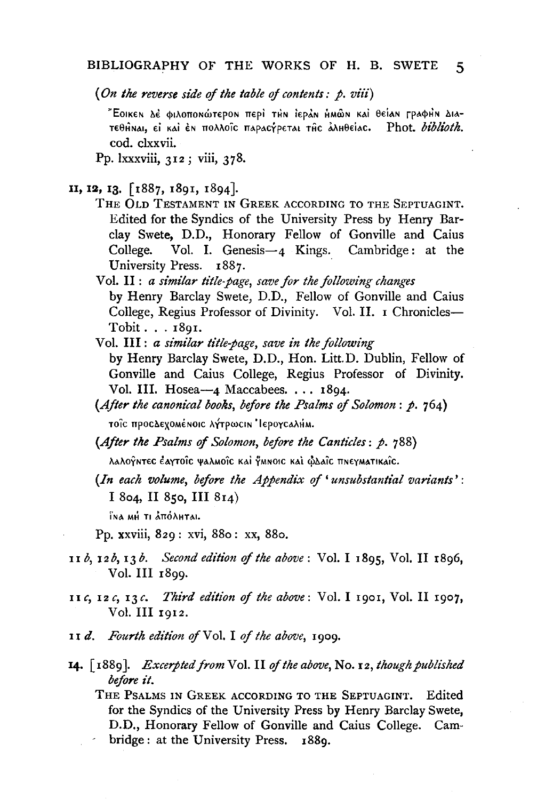(On the reverse side of the table of contents:  $p$ , viii)

"Εσικεν δέ φιλοπονώτερον περί τΗν Ιεράν ΗΜών και θείαν ΓραφΗν Διατεθήναι, εί καί έν πολλοΐς παραςγρεται της άληθείας. Phot. biblioth. cod. clxxvii.

Pp. lxxxviii, 312; viii, 378.

- 11, 12, 13. [1887, 1891, 1894].
	- THE OLD TESTAMENT IN GREEK ACCORDING TO THE SEPTUAGINT. Edited for the Syndics of the University Press by Henry Barclay Swete, D.D., Honorary Fellow of Gonville and Caius Vol. I. Genesis $-4$  Kings. Cambridge: at the College. University Press. 1887.
	- Vol. II : a similar title-page, save for the following changes by Henry Barclay Swete, D.D., Fellow of Gonville and Caius College, Regius Professor of Divinity. Vol. II. I Chronicles-Tobit . . . 1891.
	- Vol. III: a similar title-page, save in the following by Henry Barclay Swete, D.D., Hon. Litt.D. Dublin, Fellow of Gonville and Caius College, Regius Professor of Divinity. Vol. III. Hosea-4 Maccabees. . . . 1894.
	- (After the canonical books, before the Psalms of Solomon:  $p.764$ ) τοΐς προςΔεχοΜέΝΟΙς λήτρως Ν' Ιερογς αλήΜ.
	- (After the Psalms of Solomon, before the Canticles: p. 788)

λαλογ̃ητες ἐαγτοῖς ψαλΜοῖς καὶ γμησις καὶ φλαῖς πηεγματικαῖς.

(In each volume, before the Appendix of 'unsubstantial variants': I 804, II 850, III 814)

ΪΝΑ ΜΗ ΤΙ ΔΠΟΛΗΤΑΙ.

- Pp. xxviii, 829: xvi, 880: xx, 880.
- 11 b, 12 b, 13 b. Second edition of the above: Vol. I 1895, Vol. II 1896, Vol. III 1899.
- 11c, 12c, 13c. Third edition of the above: Vol. I 1901, Vol. II 1907, Vol. III 1912.
- 11 d. Fourth edition of Vol. I of the above, 1909.
- 14. [1889]. *Excerpted from* Vol. II of the above, No. 12, though published before it.

THE PSALMS IN GREEK ACCORDING TO THE SEPTUAGINT. Edited for the Syndics of the University Press by Henry Barclay Swete, D.D., Honorary Fellow of Gonville and Caius College. Cambridge: at the University Press. 1889.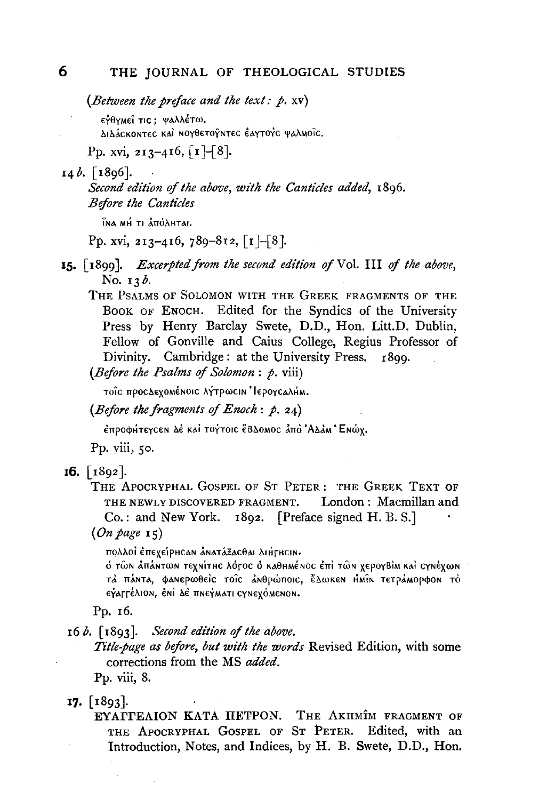(Between the preface and the text:  $p$ . xv)

εγθγμεί τις: ψαλλέτω.

ΔιΔάςκοητες και ΝΟΥθετογητες έαγτονς ψαλΜοΐς.

Pp. xvi, 213-416,  $\lceil 1 \rceil$ -8].

## $14b.$  [1896].

Second edition of the above, with the Canticles added, 1896. **Before the Canticles** 

ÎNA MH TI ẢNG AHTAI.

Pp. xvi, 213-416, 789-812,  $\lceil 1 - 8 \rceil$ .

- 15. [1899]. Excerpted from the second edition of Vol. III of the above, No. 13b.
	- THE PSALMS OF SOLOMON WITH THE GREEK FRAGMENTS OF THE BOOK OF ENOCH. Edited for the Syndics of the University Press by Henry Barclay Swete, D.D., Hon. Litt.D. Dublin. Fellow of Gonville and Caius College, Regius Professor of Divinity. Cambridge: at the University Press. 1899.

(Before the Psalms of Solomon: p. viii)

τοΐε προελεχοΜέΝΟΙΕ λήτρωειν ΙερογεαλήΜ.

(Before the fragments of Enoch:  $p$ , 24)

έπροφήτεγς εν λέ και τογτοις έβλοΜος άπο ΆλλΜ Ένώχ.

Pp. viii, 50.

 $16. \; \lceil 1892 \rceil.$ 

THE APOCRYPHAL GOSPEL OF ST PETER: THE GREEK TEXT OF THE NEWLY DISCOVERED FRAGMENT. London: Macmillan and  $Co.:$  and New York. 1892. [Preface signed H. B. S.]

 $(On \ page \ 15)$ 

πολλοί έπεχείρης ον ανατάξαςθαι Διήτης ιν.

ό τῶν ἀπάντων τεχνίτης λότος ο καθημένος ἐπὶ τῶν χερογΒίμ καὶ ςγνέχων τά πάντα, φανερωθείς τοΐς ανθρώποις, ἔΔωκεν Ημίν τετράμορφον το εγαρτέλιον, ένι δε πνεγματι σγνεχόμενον.

Pp. 16.

 $16 b.$  [1893]. Second edition of the above.

Title-page as before, but with the words Revised Edition, with some corrections from the MS added.

Pp. viii, 8.

#### $17.$  [1893].

EYATTEAION KATA HETPON. THE AKHMÎM FRAGMENT OF THE APOCRYPHAL GOSPEL OF ST PETER. Edited, with an Introduction, Notes, and Indices, by H. B. Swete, D.D., Hon.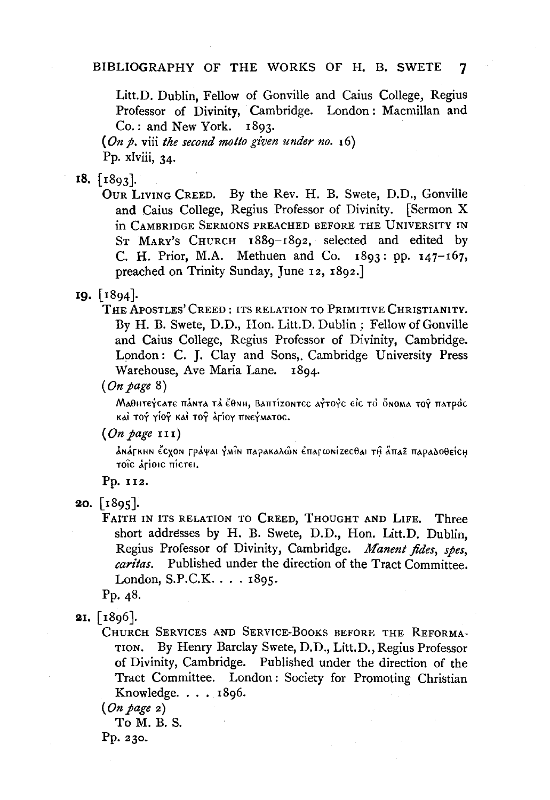Litt.D. Dublin, Fellow of Gonville and Caius College, Regius Professor of Divinity, Cambridge. London: Macmillan and  $Co.:$  and New York.  $1893.$ 

(On p. viii the second motto given under no.  $16$ ) Pp. xIviii, 34.

### $18.$  [ $1803$ ].

OUR LIVING CREED. By the Rev. H. B. Swete, D.D., Gonville and Caius College, Regius Professor of Divinity. [Sermon X in CAMBRIDGE SERMONS PREACHED BEFORE THE UNIVERSITY IN ST MARY's CHURCH 1889-1892, selected and edited by C. H. Prior, M.A. Methuen and Co.  $1893$ : pp.  $147-167$ , preached on Trinity Sunday, June 12, 1892.]

#### $19. \; 1894.$

THE APOSTLES' CREED: ITS RELATION TO PRIMITIVE CHRISTIANITY. By H. B. Swete, D.D., Hon. Litt.D. Dublin; Fellow of Gonville and Caius College, Regius Professor of Divinity, Cambridge. London: C. J. Clay and Sons, Cambridge University Press Warehouse, Ave Maria Lane. 1894.

 $(On \ page \ 8)$ 

Маентетсате па́нта та є́енн, Ваптізонтес аттотс еіс то о́нома тот патрос καί τογ γίογ καί τογ άτίογ πΝεγΜΑΤΟΣ.

ảnápkhn ểcyon ppáyai ỷmîn πapakaλῶn ἐπapωnίzεcθai τι ẫπaz πapaδoθείch τοις άτίοις πίςτει.

Pp. 112.

Pp. 48.

CHURCH SERVICES AND SERVICE-BOOKS BEFORE THE REFORMA-TION. By Henry Barclay Swete, D.D., Litt, D., Regius Professor of Divinity, Cambridge. Published under the direction of the Tract Committee. London: Society for Promoting Christian Knowledge.  $\ldots$  1896.

To M. B. S.

Pp. 230.

 $(On\ page\ III)$ 

**<sup>20.</sup>**  $\lceil 1895 \rceil$ .

FAITH IN ITS RELATION TO CREED, THOUGHT AND LIFE. Three short addresses by H. B. Swete, D.D., Hon. Litt.D. Dublin, Regius Professor of Divinity, Cambridge. Manent fides, spes, *caritas.* Published under the direction of the Tract Committee. London, S.P.C.K. . . . 1895.

**<sup>21.</sup>**  $\lceil 1896 \rceil$ .

 $(On page 2)$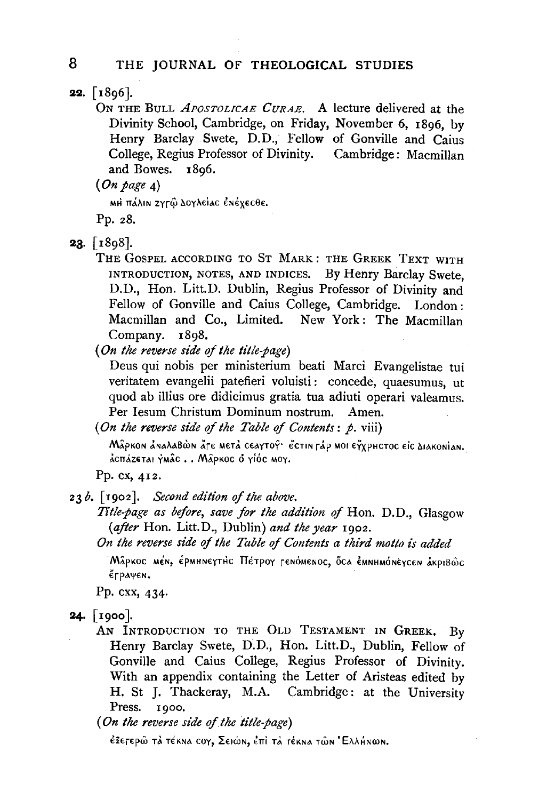22.  $[1806]$ .

ON THE BuLL *APOSTOLICAE CuRAE.* A lecture delivered at the Divinity School, Cambridge, on Friday, November 6, 1896, by Henry Barclay Swete, D.D., Fellow of Gonville and Caius College, Regius Professor of Divinity. Cambridge: Macmillan and Bowes. 1896.

*(On page* 4)

MH πάλιn zγrŵ Δογλείας ἐnέχεςθε.

Pp. *z8.* 

23. [r8g8].

THE GOSPEL ACCORDING TO ST MARK : THE GREEK TEXT WITH INTRODUCTION, NOTES, AND INDICES. By Henry Barclay Swete, D.D., Hon. Litt.D. Dublin, Regius Professor of Divinity and Fellow of Gonville and Caius College, Cambridge. London : Macmillan and Co., Limited. New York: The Macmillan Company. 1898.

*(On the reverse side of the title-page)* 

Deus qui nobis per ministerium beati Marci Evangelistae tui veritatem evangelii patefieri voluisti : concede, quaesumus, ut quod ab illius ore didicimus gratia tua adiuti operari valeamus. Per Iesum Christum Dominum nostrum. Amen.

*(On the reverse side qf the Table of Contents: p.* viii)

Mậpkon AnaλaBώn Ấτε metà ceaytoy· ECTIN ΓΑΡ ΜΟΙ ΕΥΥΡΗCTOC ΕΙΣ ΔΙΑΚΟΝΙΑΝ. dcnázetai ýmác . . Mâpkoc o yióc moy.

Pp. ex, 412.

23b. *[rgoz]. Second edition of the above.* 

*Title-page as before, save for the addition qf* Hon. D.D., Glasgow *(after* Hon. Litt.D., Dublin) *and the year* rgoz.

*On the reverse side qf the Table of Contents a third motto is added* 

Mâpkoc mén, έpmhneythc Πέτρογ τεnόmenoc, όca εmnhmoneycen akpiBŵc  $ε$ ΓραψεΝ.

Pp. cxx, 434·

**24.** [1900].

AN INTRODUCTION TO THE OLD TESTAMENT IN GREEK, BV Henry Barclay Swete, D.D., Hon. Litt.D., Dublin, Fellow of Gonville and Caius College, Regius Professor of Divinity. With an appendix containing the Letter of Aristeas edited by H. St J. Thackeray, M.A. Cambridge: at the University Press. 1900.

(On the reverse side of the title-page)

έξετερῶ τὰ τέκna coy, Σειώn, ἐπὶ τὰ τέκna τῶn 'Ελλήnωn.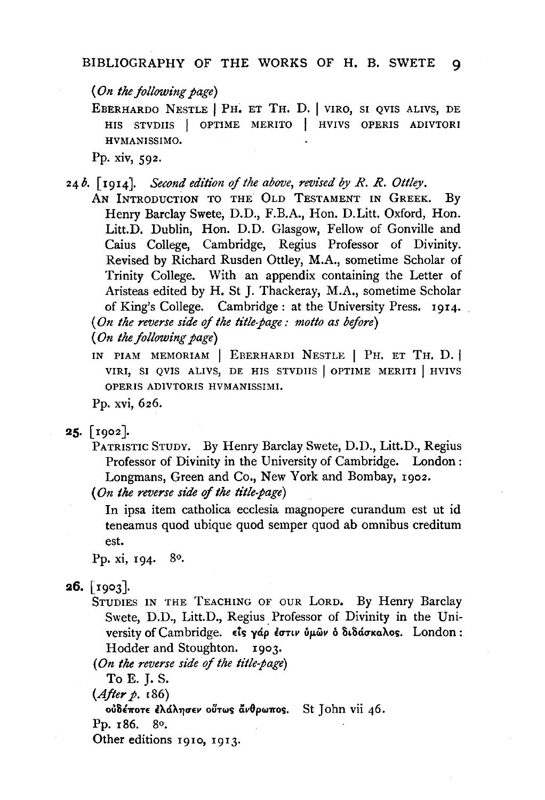*(On the following page)* 

EBERHARDO NESTLE I PH. ET TH. D. I VIRO, SI QVIS ALIVS, DE HIS STVDIIS | OPTIME MERITO | HVIVS OPERIS ADIVTORI HVMANISSIMO.

Pp. xiv, 592.

24 *b.* [ 1914]. *Second edition of the above, revised by R. R. Ottley.* 

AN INTRODUCTION TO THE OLD TESTAMENT IN GREEK. By Henry Barclay Swete, D.D., F.B.A., Hon. D.Litt. Oxford, Hon. Litt.D. Dublin, Hon. D.D. Glasgow, Fellow of Gonville and Caius College, Cambridge, Regius Professor of Divinity. Revised by Richard Rusden Ottley, M.A., sometime Scholar of Trinity College. With an appendix containing the Letter of Aristeas edited by H. St J. Thackeray, M.A., sometime Scholar of King's College. Cambridge: at the University Press. 1914. *(On the reverse side* of *the title-page : motto as before)* 

*(On the following page)* 

IN PIAM MEMORIAM | EBERHARDI NESTLE | PH. ET TH. D. VIRI, SI OVIS ALIVS, DE HIS STVDIIS OPTIME MERITI | HVIVS OPERIS ADIVTORIS HVMANISSIMI.

Pp. xvi, 626.

 $25.$  [ 1902].

PATRISTIC STUDY. By Henry Barclay Swete, D.D., Litt.D., Regius Professor of Divinity in the University of Cambridge. London: Longmans, Green and Co., New York and Bombay, 1902.

*(On the reverse side* of *the title-page)* 

In ipsa item catholica ecclesia magnopere curandum est ut id teneamus quod ubique quod semper quod ab omnibus creditum est.

Pp. xi, 194. 80.

 $26.$  [1903].

STUDIES IN THE TEACHING OF OUR LORD. By Henry Barclay Swete, D.D., Litt.D., Regius. Professor of Divinity in the University of Cambridge. είς γάρ έστιν ύμων ο διδάσκαλος. London: Hodder and Stoughton. 1903.

*(On the reverse side* of *the title-page)* 

To E. J. S.

 $(A)$ *fter p.*  $[86]$ 

oύδέποτε έλάλησεν ούτως άνθρωπος. St John vii 46.

Pp. 186. go,

Other editions 1910, 1913.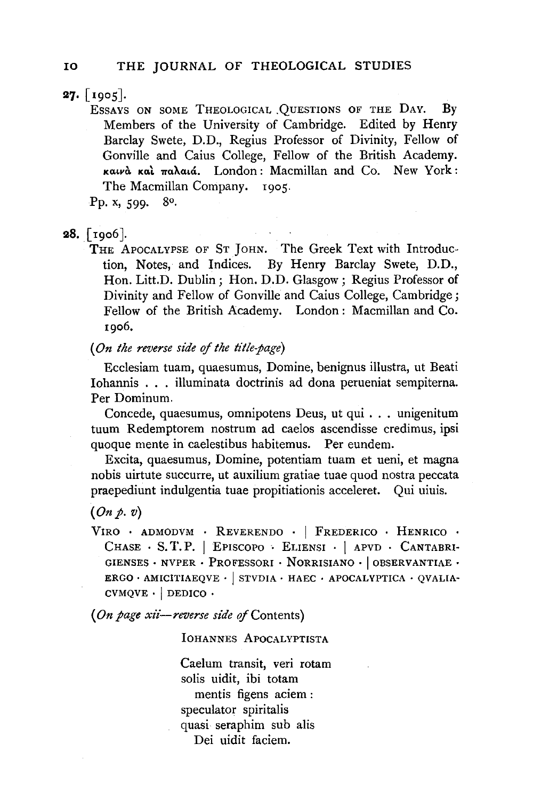$27.$  [1905].

ESSAYS ON SOME THEOLOGICAL .QUESTIONS OF THE DAY. By Members of the University of Cambridge. Edited by Henry Barclay Swete, D.D., Regius Professor of Divinity, Fellow of Gonville and Caius College, Fellow of the British Academy. καινά και παλαιά. London: Macmillan and Co. New York: The Macmillan Company. 1905.

Pp. x,  $599.89$ .

# **28.**  $\lceil \text{rgo6} \rceil$ .

THE APOCALYPSE OF ST JOHN. The Greek Text with Introduction, Notes, and Indices. By Henry Barclay Swete, D.D., Hon. Litt.D. Dublin; Hon. D.D. Glasgow; Regius Professor of Divinity and Fellow of Gonville and Caius College, Cambridge; Fellow of the British Academy. London : Macmillan and Co. 1906.

*(On the reverse side* of *the title-page)* 

Ecclesiam tuam, quaesumus, Domine, benignus illustra, ut Beati Iohannis . . . illuminata doctrinis ad dona perueniat sempiterna. Per Dominum.

Concede, quaesumus, omnipotens Deus, ut qui ... unigenitum tuum Redemptorem nostrum ad caelos ascendisse credimus, ipsi quoque mente in caelestibus habitemus. Per eundem.

Excita, quaesumus, Domine, potentiam tuam et ueni, et magna nobis uirtute succurre, ut auxilium gratiae tuae quod nostra peccata praepediunt indulgentia tuae propitiationis acceleret. Qui uiuis.

### $(On p. v)$

VIRO . ADMODVM . REVERENDO . I FREDERICO . HENRICO . CHASE . s. T. P. I EPISCOPO . ELIENSI . I APVD . CANTABRI· GIENSES · NVPER · PROFESSORI · NORRISIANO · OBSERVANTIAE · ERGO  $\cdot$  AMICITIAEQVE  $\cdot$  | STVDIA  $\cdot$  HAEC  $\cdot$  APOCALYPTICA  $\cdot$  QVALIA- $CVMQVE \cdot |$  DEDICO  $\cdot$ 

(*On page xii-reverse side of* Contents)

lOHANNES APOCALYPTISTA

Caelum transit, veri rotam solis uidit, ibi totam mentis figens aciem : speculator spiritalis quasi seraphim sub alis Dei uidit faciem.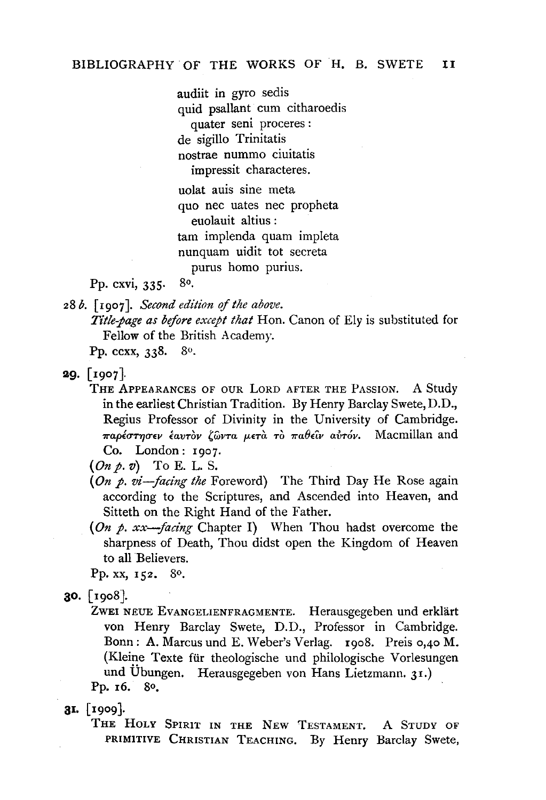audiit in gyro sedis quid psallant cum citharoedis quater seni proceres: de sigillo Trinitatis nostrae nummo ciuitatis impressit characteres.

uolat auis sine meta quo nee uates nee propheta euolauit altius : tam implenda quam impleta nunquam uidit tot secreta purus homo purius.

Pp. cxvi, 335· So.

28 *b.* [1907]. *Second edition of the above.* 

*Title-page as before except that* Hon. Canon of Ely is substituted for Fellow of the British Academy.

Pp. ccxx, 338. 8<sup>o</sup>.

**29.**  $\lceil \frac{1007}{100} \rceil$ .

THE APPEARANCES OF OUR LORD AFTER THE PASSION. A Study in the earliest Christian Tradition. By Henry Barclay Swete, D.D., Regius Professor of Divinity in the University of Cambridge. *7raplUrYJUEV £avTOV 'Gwra JJ-ETa* TO 7ra8Etl' *avTov.* Macmillan and Co. London: 1907.

*(On* p. v) To E. L. S.

- *(On* p. *vi-facing the* Foreword) The Third Day He Rose again according to the Scriptures, and Ascended into Heaven, and Sitteth on the Right Hand of the Father.
- *(On* p. *xx-jacing* Chapter I) When Thou hadst overcome the sharpness of Death, Thou didst open the Kingdom of Heaven to all Believers.

Pp. xx, 152. 80.

- ao. [19oS].
	- ZWEI NEUE EVANGELIENFRAGMENTE. Herausgegeben und erklärt von Henry Barclay Swete, D.D., Professor in Cambridge. Bonn: A. Marcus und E. Weber's Verlag. 19oS. Preis o,4o M. (Kleine Texte für theologische und philologische Vorlesungen und Übungen. Herausgegeben von Hans Lietzmann. 31.) Pp. 16. So,

31. [ 1909].

THE HOLY SPIRIT IN THE NEW TESTAMENT. A STUDY OF PRIMITIVE CHRISTIAN TEACHING. By Henry Barclay Swete,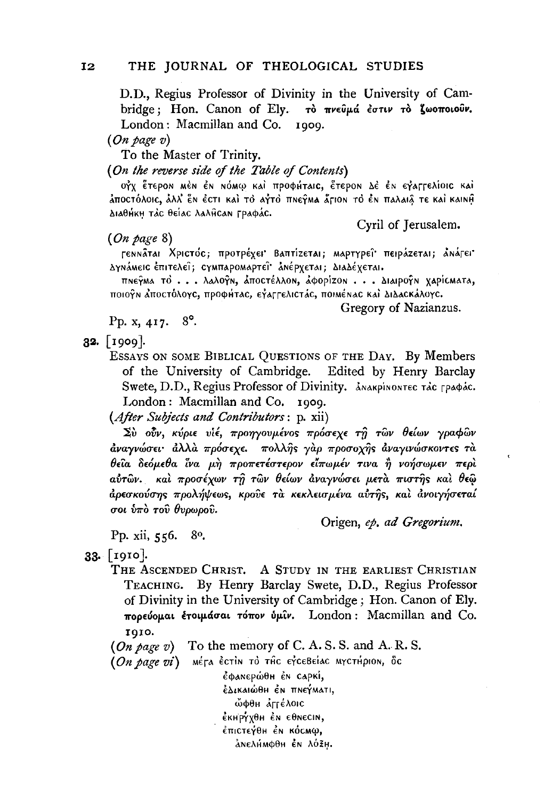D.D., Regius Professor of Divinity in the University of Cambridge; Hon. Canon of Ely. το πνεύμά έστιν το ζωοποιούν. London: Macmillan and Co. 1909.

 $(On\ page\ v)$ 

To the Master of Trinity.

(On the reverse side of the Table of Contents)

OΥΧ ΈΤΕΡΟΝ ΜΕΝ ΕΝ ΝΌΜω ΚΑΙ ΠΡΟΦΗΤΑΙΕ, ΕΤΕΡΟΝ ΔΕ ΕΝ ΕΥΑΓΓΕΛΙΟΙΕ ΚΑΙ άποςτόλοις, άλλ' εν έςτι και το αγτό πνεγμα άριον το έν παλαιά τε και καινή Διαθήκη τάς θείας λαλής αν Γραφάς.

 $(On \ page \ 8)$ 

Cyril of Jerusalem.

ΓεΝΝάται Χριστός; προτρέχει Βαπτίzεται; Μαρτγρεΐ πειράzεται; ΔΝάΓει ΔγΝάΜεις έπιτελεΐ; ςγΜΠΑΡΟΜΑΡΤΕΪ ΑΝέρχεται; Διαλέχεται.

πηεγμα το ... λαλογη, αποστέλλοη, άφορίzοη ... Διαιρογη χαρίσματα, ποιογν λποστόλογε, προφήτας, εγαρρελιστάς, ποιΜένας και ΔιΔασκάλογς.

Gregory of Nazianzus.

Pp. x, 417. 8°.

 $32.$  [1909].

ESSAYS ON SOME BIBLICAL QUESTIONS OF THE DAY. By Members of the University of Cambridge. Edited by Henry Barclay Swete, D.D., Regius Professor of Divinity. ANAKPINONTEC TAC FPAPAC. London: Macmillan and Co. 1909.

(After Subjects and Contributors: p. xii)

Σὺ ούν, κύριε υἱέ, προηγουμένος πρόσεχε τη τῶν θείων γραφῶν άναγνώσει· άλλα πρόσεχε. πολλης γαρ προσοχης άναγινώσκοντες τα θεία δεόμεθα ίνα μή προπετέστερον είπωμέν τινα ή νοήσωμεν περί αύτων. και προσέχων τη των θείων αναγνώσει μετα πιστης και θεω άρεσκούσης προλήψεως, κρούε τα κεκλεισμένα αύτης, και ανοιγήσεταί σοι ύπὸ τοῦ θυρωροῦ.

Pp. xii, 556. 80. Origen, ep. ad Gregorium.

33. [1910].

THE ASCENDED CHRIST. A STUDY IN THE EARLIEST CHRISTIAN TEACHING. By Henry Barclay Swete, D.D., Regius Professor of Divinity in the University of Cambridge; Hon. Canon of Ely. πορεύομαι έτοιμάσαι τόπον ύμιν. London: Macmillan and Co. **1010.** 

 $(On \text{ page } v)$  To the memory of C. A. S. S. and A. R. S.

(On page vi) Μέτα έςτιν το της εγςεβείας ΜΥΣΤΗρΙΟΝ, δς

έφαΝερώθη έΝ CAPKI, έΔικαιώθη έν πνεγΜατι, ώφθη Δητέλοις έκΗΡΥΧθΗ έΝ εθΝεCIN, έπιστεγθη έν κόσΜω, ανελήΜφθη έν λόξη.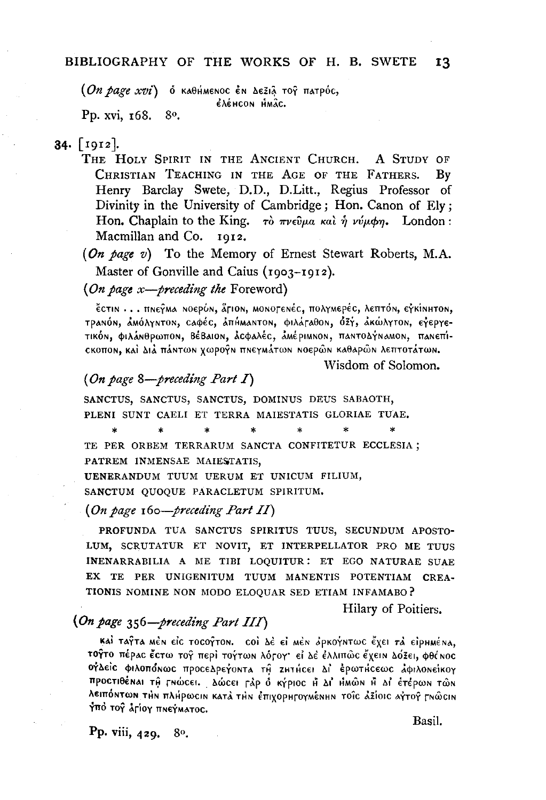$(On\ page\ xvi)$  ο καθήμενος έν Δεξιά τος πατρός, EACHCON HMÂC.

Pp. xvi, 168. 80.

## $34.$  [1912].

THE HOLY SPIRIT IN THE ANCIENT CHURCH. A STUDY OF CHRISTIAN TEACHING IN THE AGE OF THE FATHERS. By Henry Barclay Swete, D.D., D.Litt., Regius Professor of Divinity in the University of Cambridge; Hon. Canon of Ely; Hon. Chaplain to the King.  $\tau\delta \pi\nu \epsilon \hat{\nu} \mu a \kappa a \hat{\nu} \hat{\nu} \nu \psi \phi \eta$ . London: Macmillan and Co. 1012.

(On page v) To the Memory of Ernest Stewart Roberts, M.A. Master of Gonville and Caius (1903-1912).

(On page  $x$ -preceding the Foreword)

έςτιΝ ... πηεγμα Νοερύη, Άτιοη, ΜΟΝΟΓενές, πολγμερές, λεπτόη, εγκίΝΗτοη, τραΝόΝ, αΜόλγΝτοΝ, Caφές, απήΜαΝτοΝ, ΦΙλάταθοΝ, όξγ, ακώλγτοΝ, εγεργετικόΝ, φιλάΝθρωποΝ, ΒέΒαιοΝ, άςφαλές, αΜέριΜΝΟΝ, παΝΤΟΔΥΝαΜΟΝ, παΝεπίcκοποη, και Διά πάντων χωρογν πνεγμάτων νοερών καθαρών λεπτοτάτων.

Wisdom of Solomon.

#### (On page 8-preceding Part I)

SANCTUS, SANCTUS, SANCTUS, DOMINUS DEUS SABAOTH, PLENI SUNT CAELI ET TERRA MAIESTATIS GLORIAE TUAE.

TE PER ORBEM TERRARUM SANCTA CONFITETUR ECCLESIA; PATREM INMENSAE MAIESTATIS.

UENERANDUM TUUM UERUM ET UNICUM FILIUM, SANCTUM QUOQUE PARACLETUM SPIRITUM.

#### (On page  $160$ -preceding Part II)

PROFUNDA TUA SANCTUS SPIRITUS TUUS, SECUNDUM APOSTO-LUM, SCRUTATUR ET NOVIT, ET INTERPELLATOR PRO ME TUUS INENARRABILIA A ME TIBI LOQUITUR: ET EGO NATURAE SUAE EX TE PER UNIGENITUM TUUM MANENTIS POTENTIAM CREA-TIONIS NOMINE NON MODO ELOOUAR SED ETIAM INFAMABO?

Hilary of Poitiers.

### (On page 356–preceding Part III)

KAI TAŶTA MÊN EIC TOCOŶTON. COI AÈ EI MÊN OPKOÝNTWC EXEI TÀ EIPHMÉNA. τογτο πέρας έστω τογ περί τογτων λόγογ· εί Δε έλλιπώς έχειν Δόξει, φθένος ΟΥΔείς φιλοπόνως προσεδρεγοντα τη ΖΗτήςει δι έρωτήςεως άφιλονείκογ προστιθέναι τη Γνώσει. Δώσει Γάρ ο κήριος Η ΔΙ ΗΜών Η ΔΙ έτέρων τών λειπόΝτων την πλήρωσιν κατά την έπιχορητογμένην τοις αξίοις αγτογ ενώσιν Υπό τον άΓίον πΝεγΜΑΤΟΣ.

Pp. viii, 429. 80. Basil.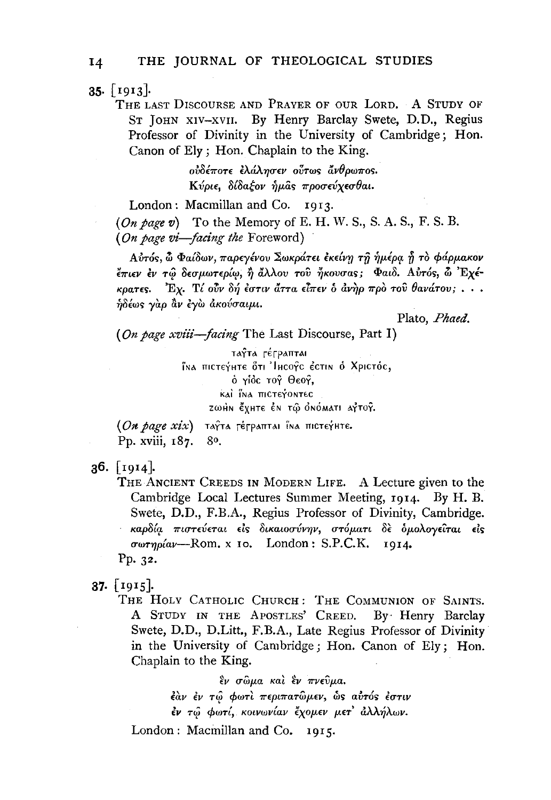$35.$  [1913].

THE LAST DISCOURSE AND PRAYER OF OUR LORD. A STUDY OF ST JOHN XIV-XVII. By Henry Barclay Swete, D.D., Regius Professor of Divinity in the University of Cambridge; Hon. Canon of Ely; Hon. Chaplain to the King.

> ούδέποτε έλάλησεν ούτως άνθρωπος. Κύριε, δίδαξον ήμας προσεύχεσθαι.

London: Macmillan and Co. 1913.

 $(On \text{ page } v)$  To the Memory of E. H. W. S., S. A. S., F. S. B. (On page vi-facing the Foreword)

Αύτός, ὦ Φαίδων, παρεγένου Σωκράτει εκείνη τῆ ἡμέρα ῆ τὸ φάρμακον έπιεν έν τώ δεσμωτερίω, ή άλλου του ήκουσας; Φαιδ. Αυτός, ω Έχέκρατες. Έχ. Τί ούν δή έστιν άττα είπεν ο άνηρ προ του θανάτου; ... ήδέως γαρ άν εγω ακούσαιμι.

Plato, Phaed.

(On page xviii-facing The Last Discourse, Part I)

ταγτα ΓέΓραπται їма пістетите оті Інсотс естім в Хрістос, ό γίος τογ Θεογ, KAI INA TICTEYONTEC ΖωΗΝ έχΗΤΕ ΕΝ τώ ΟΝΟΜΑΤΙ ΑΥΤΟΥ.

(On page xix) таута гетраптан їма пістечнте. Pp. xviii, 187. 80.

 $36.$  [1914].

THE ANCIENT CREEDS IN MODERN LIFE. A Lecture given to the Cambridge Local Lectures Summer Meeting, 1914. By H. B. Swete, D.D., F.B.A., Regius Professor of Divinity, Cambridge. καρδία πιστεύεται είς δικαιοσύνην, στόματι δὲ δμολογείται είς  $\sigma\omega\tau\eta\rho\acute{a}a\nu$ --Rom. x 10. London: S.P.C.K. 1914. Pp. 32.

 $37.$  [1915].

THE HOLY CATHOLIC CHURCH: THE COMMUNION OF SAINTS. A STUDY IN THE APOSTLES' CREED. By Henry Barclay Swete, D.D., D.Litt., F.B.A., Late Regius Professor of Divinity in the University of Cambridge; Hon. Canon of Ely; Hon. Chaplain to the King.

έν σώμα και έν πνεύμα.

έὰν ἐν τῶ φωτὶ περιπατῶμεν, ὡς αὐτός ἐστιν έν τώ φωτί, κοινωνίαν έχομεν μετ' άλλήλων.

London: Macmillan and Co. 1915.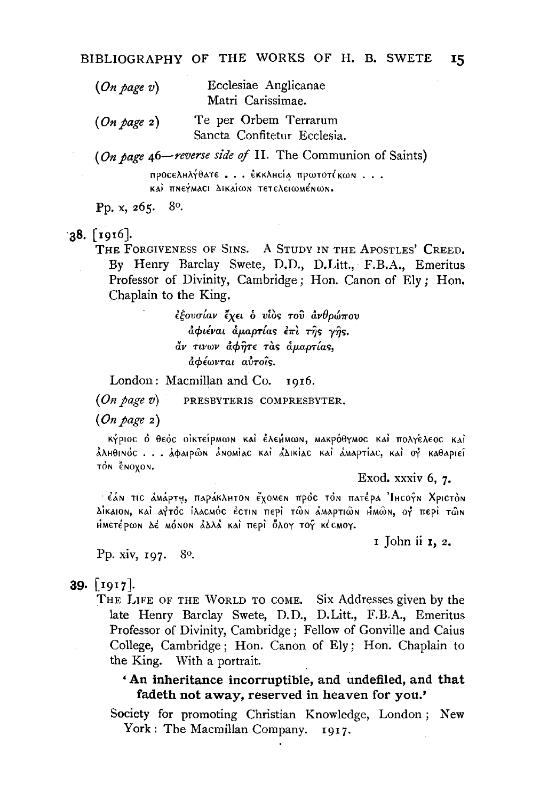| $(On\ page\ v)$ | Ecclesiae Anglicanae<br>Matri Carissimae.            |
|-----------------|------------------------------------------------------|
| (On page 2)     | Te per Orbem Terrarum<br>Sancta Confitetur Ecclesia. |

(On page  $46$ -reverse side of II. The Communion of Saints)

προςελμλήθατε... έκκληςία πρωτοτίκων... KAI TINEYMACI AIKAION TETELEIOMÉNON.

80. Pp. x, 265.

#### $38.$  [1916].

THE FORGIVENESS OF SINS. A STUDY IN THE APOSTLES' CREED. By Henry Barclay Swete, D.D., D.Litt., F.B.A., Emeritus Professor of Divinity, Cambridge; Hon. Canon of Ely; Hon. Chaplain to the King.

> εξουσίαν έχει ο υίος του ανθρώπου αφιέναι αμαρτίας επι της γής. άν τινων άφητε τας άμαρτίας. άφέωνται αυτοΐς.

London: Macmillan and Co. 1016.

 $(On\ page\ v)$ PRESBYTERIS COMPRESBYTER.

 $(On\ page\ 2)$ 

κήριος ό θεός οικτείρμων και έλεμμων, μακρόθγμος και πολγέλεος και ảλhθinóc . . . ảφaipŵn ảnomiac kai ả∆ikiac kai ảmaptiac, kai oỷ kaθapieî τόν ένοχον.

Exod. xxxiv 6, 7.

έάν τις άмάρτη, παράκλητον έχοмеν πρός τόν πατέρα Ίμεογν Χριστόν Δίκαιοn, καὶ αγτὸς ἱλαςΜός ἐςτιn περὶ τῶn ἀΜαρτιῶn ΗΜῶn, ογ περὶ τῶn ΗΜΕΤέρωΝ Δέ ΜόΝΟΝ ΔΔΛΑ ΚΑΙ ΠΕΡΙ Όλογ τος ΚίζΜΟΥ.

I John ii 1, 2.

## Pp. xiv, 197. 80.

## $39.$  [1917].

THE LIFE OF THE WORLD TO COME. Six Addresses given by the late Henry Barclay Swete, D.D., D.Litt., F.B.A., Emeritus Professor of Divinity, Cambridge; Fellow of Gonville and Caius College, Cambridge; Hon. Canon of Ely; Hon. Chaplain to the King. With a portrait.

'An inheritance incorruptible, and undefiled, and that fadeth not away, reserved in heaven for you.'

Society for promoting Christian Knowledge, London; New York: The Macmillan Company. 1917.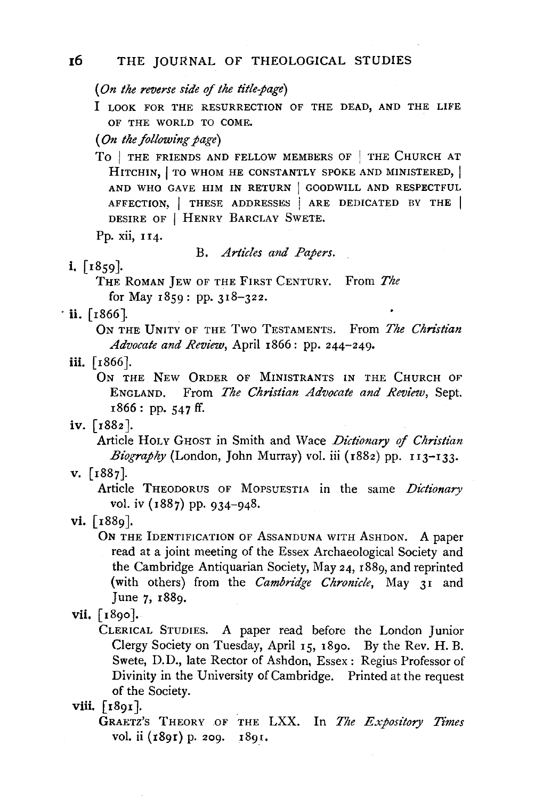*(On the reverse side of the title.page)* 

**J** LOOK FOR THE RESURRECTION OF THE DEAD, AND THE LIFE OF THE WORLD TO COME.

*(On the following page)* 

To | THE FRIENDS AND FELLOW MEMBERS OF | THE CHURCH AT HITCHIN, | TO WHOM HE CONSTANTLY SPOKE AND MINISTERED, | AND WHO GAVE HIM IN RETURN | GOODWILL AND RESPECTFUL AFFECTION, | THESE ADDRESSES | ARE DEDICATED BY THE | DESIRE OF | HENRY BARCLAY SWETE.

Pp. xii, 114.

B. *Articles and Papers.* 

# **i.** [ 1859].

THE RoMAN JEw OF THE FIRST CENTURY. From *The*  for May 1859: pp. 318-322.

 $\cdot$  **ii.** [1866].

ON THE UNITY oF THE Two TESTAMENTS. From *The Chn'stian Advocate and Review,* April 1866: pp. 244-249.

## **iii.** [ !866].

ON THE NEW ORDER OF MINISTRANTS IN THE CHURCH OF ENGLAND. From *The Christian Advocate and Review,* Sept. 1866: pp. 547 ff.

## iv. [1882].

Article HOLY GHOST in Smith and Wace *Dictionary of Christian* Biography (London, John Murray) vol. iii (1882) pp. 113-133.

v. (1887].

Article THEODORUS OF MOPSUESTIA in the same *Dictionary*  vol. iv (1887) pp. 934-948.

**Vlll.** ( 1891].

GRAETZ'S THEORY OF THE LXX. In *The Expository Times* vol. ii (1891) p. 209. 1891.

vi. [1889].

ON THE IDENTIFICATION OF ASSANDUNA WITH ASHDON. A paper read at a joint meeting of the Essex Archaeological Society and the Cambridge Antiquarian Society, May 24, 188g, and reprinted (with others) from the *Cambridge Chronicle,* May 31 and June 7, 1889.

vii.  $\lceil 1890 \rceil$ .

CLERICAL STUDIES. A paper read before the London Junior Clergy Society on Tuesday, April 15, I8go. By the Rev. H. B. Swete, D.D., late Rector of Ashdon, Essex: Regius Professor of Divinity in the University of Cambridge. Printed at the request of the Society.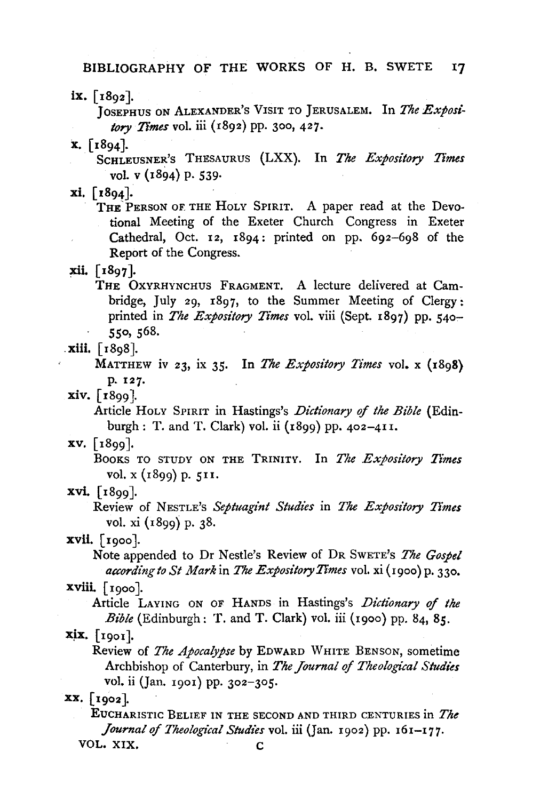BIBLIOGRAPHY OF THE WORKS OF H. B. SWETE 17

 $ix. \int 1892$ .

JosEPHUS oN ALEXANDER's VISIT TO JERUSALEM. In *The Expose: tory Times* vol. iii (1892) pp. 3oo, 427.

x. [1894].

SCHLEUSNER's THESAURUS (LXX). In *The Expository Times*  vol. v (1894) p. 539.

xi. [x894].

THE PERSON OF THE HOLY SPIRIT. A paper read at the Devotional Meeting of the Exeter Church Congress in Exeter Cathedral, Oct. 12,  $1894$ : printed on pp.  $692-698$  of the Report of the Congress.

xii. [ !897 ].

THE OxYRHYNCHUS FRAGMENT. A lecture delivered at Cambridge, July 29, 1897, to the Summer Meeting of Clergy: printed in *The Expository Times* vol. viii (Sept. 1897) pp. 540- 550, 568 .

. Xlll. ( 1898).

MATTHEW iv 23, ix 35· In *The Expository Times* vol. x (1898) p. 127·

 $xiv.$  [ $1899$ ].

Article HoLY SPIRIT in Hastings's *Dictionary* if *the Bible* (Edinburgh: T. and T. Clark) vol. ii (1899) pp. 402-411.

 $xv.$  [ $1899$ ].

BooKs TO STUDY ON THE TRINITY. In *The Expository Times*  vol. x (1899) p. 511.

xvi. [1899].

Review of NESTLE's *Septuagint Studies* in *The Exposz'tory Times*  vol. xi (1899) p. 38.

xvti. [ 1900 ].

Note appended to Dr Nestle's Review of DR SwETE's *The Gospel according to St Mark* in *The Expository Times* vol. xi (1900) p. 330.

 $xviii.$  [ $1000$ ].

Article LAYING ON OF HANDS in Hastings's *Dictionary of the Bi'ble* (Edinburgh: T. and T. Clark) vol. iii (19oo) pp. 84, *85.* 

 $xix.$  [1901].

Review of *The Apocalypse* by EDWARD WHITE BENSON, sometime Archbishop of Canterbury, in *The Journal of Theological Studies* vol. ii (Jan. 1901) pp. 302-305.

XX. (1902].

EUCHARISTIC BELIEF IN THE SECOND AND THIRD CENTURIES in The *Journal of Theological Studies* vol. iii (Jan. 1902) pp. r6I-I77· VOL. XIX. C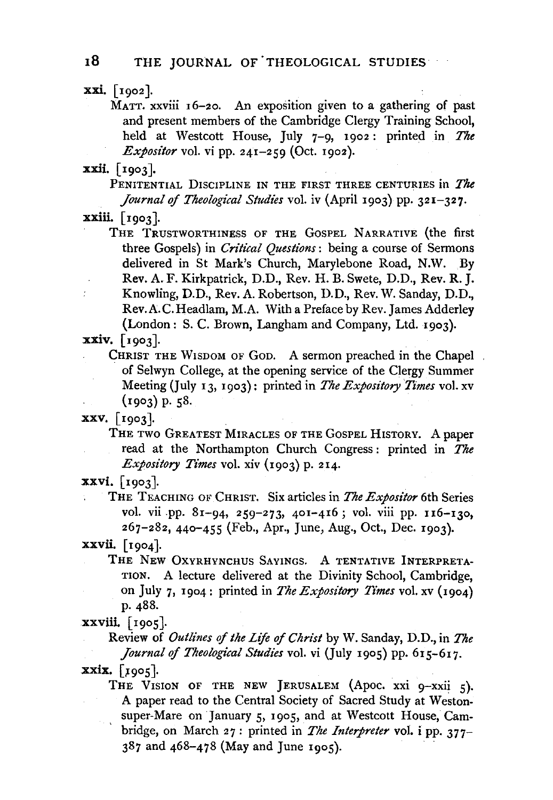xxi. [ 1902 ].

MATT. xxviii 16-20. An exposition given to a gathering of past and present members of the Cambridge Clergy Training School, held at Westcott House, July 7-9, 1902: printed in *The Expositor* vol. vi pp.  $241-259$  (Oct. 1902).

xxii. [ 1903].

PENITENTIAL DISCIPLINE IN THE FIRST THREE CENTURIES in *The Journal of Theological Studies* vol. iv (April 1903) pp. 321-327.

THE TRUSTWORTHINESS OF THE GOSPEL NARRATIVE (the first three Gospels) in *Critical Questions*: being a course of Sermons delivered in St Mark's Church, Marylebone Road, N.W. By Rev. A. F. Kirkpatrick, D.D., Rev. H. B. Swete, D.D., Rev. R. J. Knowling, D.D., Rev. A. Robertson, D. D., Rev. W. Sanday, D.D., Rev. A. C. Headlam, M.A. With a Preface by Rev. James Adderley (London: S. C. Brown, Langham and Company, Ltd. 1903).

xxiv, [1903].

CHRIST THE WISDOM OF GOD. A sermon preached in the Chapel. of Selwyn College, at the opening service of the Clergy Summer Meeting (July 13, 1903): printed in *The Expository Times* vol. xv (1903) p. ss.

XXV, [ 1903].

THE TWO GREATEST MIRACLES OF THE GOSPEL HISTORY. A paper read at the Northampton Church Congress: printed in *The Expository Times* vol. xiv (1903) p. 214.

 $xxvi.$  [1903].

THE TEACHING OF CHRIST. Six articles in The *Expositor* 6th Series vol. vii pp. 81-94, 259-273, 401-416; vol. viii pp. 116-130, 267-282, 44o-455 (Feb., Apr., June, Aug., Oct., Dec. 1903).

xxvii. [1904].

THE NEw OxYRHYNCHUS SAYINGS. A TENTATIVE INTERPRETA-TION. A lecture delivered at the Divinity School, Cambridge, on July 7, 1904: printed in *The Expository Times* vol. xv (1904) p. 488.

Review of *Outlines* of *the Life of Christ* by W. Sanday, D.D., in *The Journal* of *Theological Studies* vol. vi (July 1905) pp. 615-617.

 $\boldsymbol{\text{xxix.}}$  [1905].

THE VISION OF THE NEW JERUSALEM (Apoc. xxi 9-xxii 5). A paper read to the Central Society of Sacred Study at Westonsuper-Mare on January 5, 1905, and at Westcott House, Cam- $\mathbb{R}^{d}$ bridge, on March 27: printed in *The Interpreter* vol. i pp. 377- 387 and 468-478 (May and June 1905).

xxiii. [1903].

xxviii. [1905].